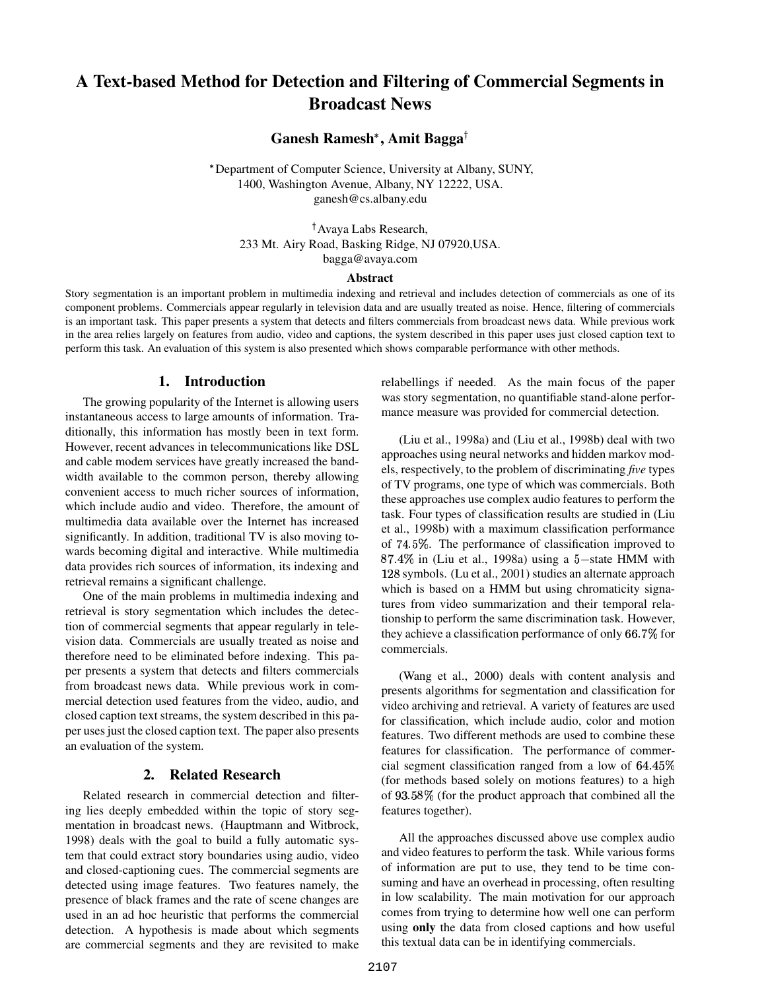# **A Text-based Method for Detection and Filtering of Commercial Segments in Broadcast News**

**Ganesh Ramesh , Amit Bagga**

- Department of Computer Science, University at Albany, SUNY, 1400, Washington Avenue, Albany, NY 12222, USA. ganesh@cs.albany.edu

 Avaya Labs Research, 233 Mt. Airy Road, Basking Ridge, NJ 07920,USA. bagga@avaya.com

#### **Abstract**

Story segmentation is an important problem in multimedia indexing and retrieval and includes detection of commercials as one of its component problems. Commercials appear regularly in television data and are usually treated as noise. Hence, filtering of commercials is an important task. This paper presents a system that detects and filters commercials from broadcast news data. While previous work in the area relies largely on features from audio, video and captions, the system described in this paper uses just closed caption text to perform this task. An evaluation of this system is also presented which shows comparable performance with other methods.

#### **1. Introduction**

The growing popularity of the Internet is allowing users instantaneous access to large amounts of information. Traditionally, this information has mostly been in text form. However, recent advances in telecommunications like DSL and cable modem services have greatly increased the bandwidth available to the common person, thereby allowing convenient access to much richer sources of information, which include audio and video. Therefore, the amount of multimedia data available over the Internet has increased significantly. In addition, traditional TV is also moving towards becoming digital and interactive. While multimedia data provides rich sources of information, its indexing and retrieval remains a significant challenge.

One of the main problems in multimedia indexing and retrieval is story segmentation which includes the detection of commercial segments that appear regularly in television data. Commercials are usually treated as noise and therefore need to be eliminated before indexing. This paper presents a system that detects and filters commercials from broadcast news data. While previous work in commercial detection used features from the video, audio, and closed caption text streams, the system described in this paper usesjust the closed caption text. The paper also presents an evaluation of the system.

#### **2. Related Research**

Related research in commercial detection and filtering lies deeply embedded within the topic of story segmentation in broadcast news. (Hauptmann and Witbrock, 1998) deals with the goal to build a fully automatic system that could extract story boundaries using audio, video and closed-captioning cues. The commercial segments are detected using image features. Two features namely, the presence of black frames and the rate of scene changes are used in an ad hoc heuristic that performs the commercial detection. A hypothesis is made about which segments are commercial segments and they are revisited to make relabellings if needed. As the main focus of the paper was story segmentation, no quantifiable stand-alone performance measure was provided for commercial detection.

(Liu et al., 1998a) and (Liu et al., 1998b) deal with two approaches using neural networks and hidden markov models, respectively, to the problem of discriminating *five* types of TV programs, one type of which was commercials. Both these approaches use complex audio features to perform the task. Four types of classification results are studied in (Liu et al., 1998b) with a maximum classification performance of 74.5%. The performance of classification improved to  $87.4\%$  in (Liu et al., 1998a) using a  $5$ -state HMM with 128 symbols. (Lu et al., 2001) studies an alternate approach which is based on a HMM but using chromaticity signatures from video summarization and their temporal relationship to perform the same discrimination task. However, they achieve a classification performance of only 66.7% for commercials.

(Wang et al., 2000) deals with content analysis and presents algorithms for segmentation and classification for video archiving and retrieval. A variety of features are used for classification, which include audio, color and motion features. Two different methods are used to combine these features for classification. The performance of commercial segment classification ranged from a low of (for methods based solely on motions features) to a high of 93.58% (for the product approach that combined all the features together).

All the approaches discussed above use complex audio and video features to perform the task. While various forms of information are put to use, they tend to be time consuming and have an overhead in processing, often resulting in low scalability. The main motivation for our approach comes from trying to determine how well one can perform using **only** the data from closed captions and how useful this textual data can be in identifying commercials.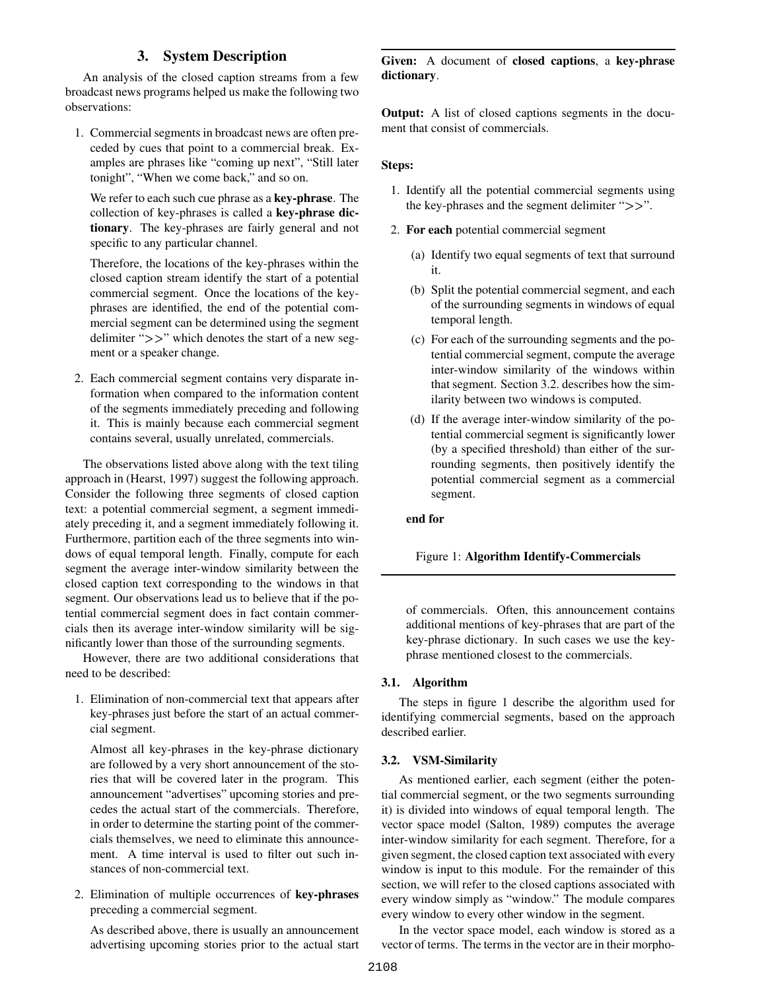## **3. System Description**

An analysis of the closed caption streams from a few broadcast news programs helped us make the following two observations:

1. Commercial segments in broadcast news are often preceded by cues that point to a commercial break. Examples are phrases like "coming up next", "Still later tonight", "When we come back," and so on.

We refer to each such cue phrase as a **key-phrase**. The collection of key-phrases is called a **key-phrase dictionary**. The key-phrases are fairly general and not specific to any particular channel.

Therefore, the locations of the key-phrases within the closed caption stream identify the start of a potential commercial segment. Once the locations of the keyphrases are identified, the end of the potential commercial segment can be determined using the segment delimiter " $>>$ " which denotes the start of a new segment or a speaker change.

2. Each commercial segment contains very disparate information when compared to the information content of the segments immediately preceding and following it. This is mainly because each commercial segment contains several, usually unrelated, commercials.

The observations listed above along with the text tiling approach in (Hearst, 1997) suggest the following approach. Consider the following three segments of closed caption text: a potential commercial segment, a segment immediately preceding it, and a segment immediately following it. Furthermore, partition each of the three segments into windows of equal temporal length. Finally, compute for each segment the average inter-window similarity between the closed caption text corresponding to the windows in that segment. Our observations lead us to believe that if the potential commercial segment does in fact contain commercials then its average inter-window similarity will be significantly lower than those of the surrounding segments.

However, there are two additional considerations that need to be described:

1. Elimination of non-commercial text that appears after key-phrases just before the start of an actual commercial segment.

Almost all key-phrases in the key-phrase dictionary are followed by a very short announcement of the stories that will be covered later in the program. This announcement "advertises" upcoming stories and precedes the actual start of the commercials. Therefore, in order to determine the starting point of the commercials themselves, we need to eliminate this announcement. A time interval is used to filter out such instances of non-commercial text.

2. Elimination of multiple occurrences of **key-phrases** preceding a commercial segment.

As described above, there is usually an announcement advertising upcoming stories prior to the actual start **Given:** A document of **closed captions**, a **key-phrase dictionary**.

**Output:** A list of closed captions segments in the document that consist of commercials.

#### **Steps:**

- 1. Identify all the potential commercial segments using the key-phrases and the segment delimiter " $>>$ ".
- 2. **For each** potential commercial segment
	- (a) Identify two equal segments of text that surround it.
	- (b) Split the potential commercial segment, and each of the surrounding segments in windows of equal temporal length.
	- (c) For each of the surrounding segments and the potential commercial segment, compute the average inter-window similarity of the windows within that segment. Section 3.2. describes how the similarity between two windows is computed.
	- (d) If the average inter-window similarity of the potential commercial segment is significantly lower (by a specified threshold) than either of the surrounding segments, then positively identify the potential commercial segment as a commercial segment.

**end for**

Figure 1: **Algorithm Identify-Commercials**

of commercials. Often, this announcement contains additional mentions of key-phrases that are part of the key-phrase dictionary. In such cases we use the keyphrase mentioned closest to the commercials.

#### **3.1. Algorithm**

The steps in figure 1 describe the algorithm used for identifying commercial segments, based on the approach described earlier.

#### **3.2. VSM-Similarity**

As mentioned earlier, each segment (either the potential commercial segment, or the two segments surrounding it) is divided into windows of equal temporal length. The vector space model (Salton, 1989) computes the average inter-window similarity for each segment. Therefore, for a given segment, the closed caption text associated with every window is input to this module. For the remainder of this section, we will refer to the closed captions associated with every window simply as "window." The module compares every window to every other window in the segment.

In the vector space model, each window is stored as a vector of terms. The terms in the vector are in their morpho-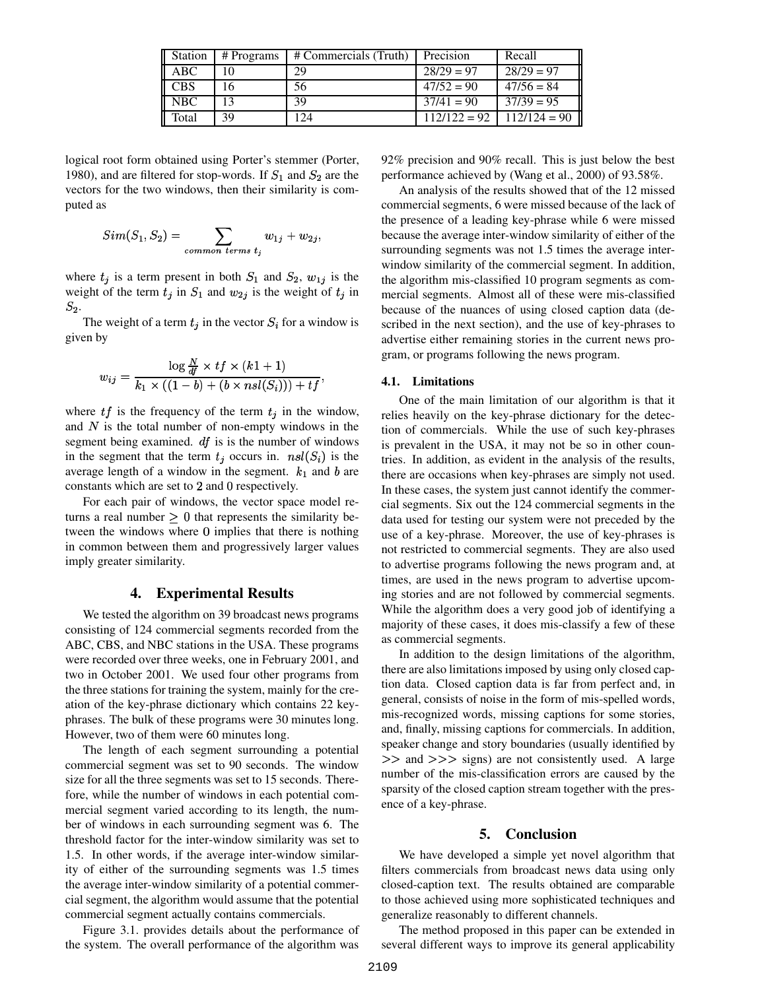| Station    | # Programs | # Commercials (Truth) | Precision      | Recall         |
|------------|------------|-----------------------|----------------|----------------|
| ABC        | 10         | 29                    | $28/29 = 97$   | $28/29 = 97$   |
| <b>CBS</b> | 16         | 56                    | $47/52 = 90$   | $47/56 = 84$   |
| <b>NBC</b> | 13         | 39                    | $37/41 = 90$   | $37/39 = 95$   |
| Total      | 39         | 124                   | $112/122 = 92$ | $112/124 = 90$ |

logical root form obtained using Porter's stemmer (Porter, 1980), and are filtered for stop-words. If  $S_1$  and  $S_2$  are the vectors for the two windows, then their similarity is computed as

$$
Sim(S_1, S_2) = \sum_{common \ terms \ t_j} w_{1j} + w_{2j},
$$

where  $t_j$  is a term present in both  $S_1$  and  $S_2$ ,  $w_{1j}$  is the weight of the term  $t_j$  in  $S_1$  and  $w_{2j}$  is the weight of  $t_j$  in  $S_2$ .

The weight of a term  $t_i$  in the vector  $S_i$  for a window is given by

$$
w_{ij} = \frac{\log \frac{N}{df} \times tf \times (k+1)}{k_1 \times ((1-b) + (b \times ns l(S_i))) + tf},
$$

where  $tf$  is the frequency of the term  $t_j$  in the window, and  $N$  is the total number of non-empty windows in the segment being examined.  $df$  is is the number of windows in the segment that the term  $t_j$  occurs in.  $nsl(S_i)$  is the average length of a window in the segment.  $k_1$  and b are constants which are set to  $2$  and  $0$  respectively.

For each pair of windows, the vector space model returns a real number  $> 0$  that represents the similarity between the windows where  $\theta$  implies that there is nothing in common between them and progressively larger values imply greater similarity.

#### **4. Experimental Results**

We tested the algorithm on 39 broadcast news programs consisting of 124 commercial segments recorded from the ABC, CBS, and NBC stations in the USA. These programs were recorded over three weeks, one in February 2001, and two in October 2001. We used four other programs from the three stations for training the system, mainly for the creation of the key-phrase dictionary which contains 22 keyphrases. The bulk of these programs were 30 minutes long. However, two of them were 60 minutes long.

The length of each segment surrounding a potential commercial segment was set to 90 seconds. The window size for all the three segments was set to 15 seconds. Therefore, while the number of windows in each potential commercial segment varied according to its length, the number of windows in each surrounding segment was 6. The threshold factor for the inter-window similarity was set to 1.5. In other words, if the average inter-window similarity of either of the surrounding segments was 1.5 times the average inter-window similarity of a potential commercial segment, the algorithm would assume that the potential commercial segment actually contains commercials.

Figure 3.1. provides details about the performance of the system. The overall performance of the algorithm was

92% precision and 90% recall. This is just below the best performance achieved by (Wang et al., 2000) of 93.58%.

An analysis of the results showed that of the 12 missed commercial segments, 6 were missed because of the lack of the presence of a leading key-phrase while 6 were missed because the average inter-window similarity of either of the surrounding segments was not 1.5 times the average interwindow similarity of the commercial segment. In addition, the algorithm mis-classified 10 program segments as commercial segments. Almost all of these were mis-classified because of the nuances of using closed caption data (described in the next section), and the use of key-phrases to advertise either remaining stories in the current news program, or programs following the news program.

#### **4.1. Limitations**

One of the main limitation of our algorithm is that it relies heavily on the key-phrase dictionary for the detection of commercials. While the use of such key-phrases is prevalent in the USA, it may not be so in other countries. In addition, as evident in the analysis of the results, there are occasions when key-phrases are simply not used. In these cases, the system just cannot identify the commercial segments. Six out the 124 commercial segments in the data used for testing our system were not preceded by the use of a key-phrase. Moreover, the use of key-phrases is not restricted to commercial segments. They are also used to advertise programs following the news program and, at times, are used in the news program to advertise upcoming stories and are not followed by commercial segments. While the algorithm does a very good job of identifying a majority of these cases, it does mis-classify a few of these as commercial segments.

In addition to the design limitations of the algorithm, there are also limitations imposed by using only closed caption data. Closed caption data is far from perfect and, in general, consists of noise in the form of mis-spelled words, mis-recognized words, missing captions for some stories, and, finally, missing captions for commercials. In addition, speaker change and story boundaries (usually identified by  $\gg$  and  $\gg$  signs) are not consistently used. A large number of the mis-classification errors are caused by the sparsity of the closed caption stream together with the presence of a key-phrase.

#### **5. Conclusion**

We have developed a simple yet novel algorithm that filters commercials from broadcast news data using only closed-caption text. The results obtained are comparable to those achieved using more sophisticated techniques and generalize reasonably to different channels.

The method proposed in this paper can be extended in several different ways to improve its general applicability